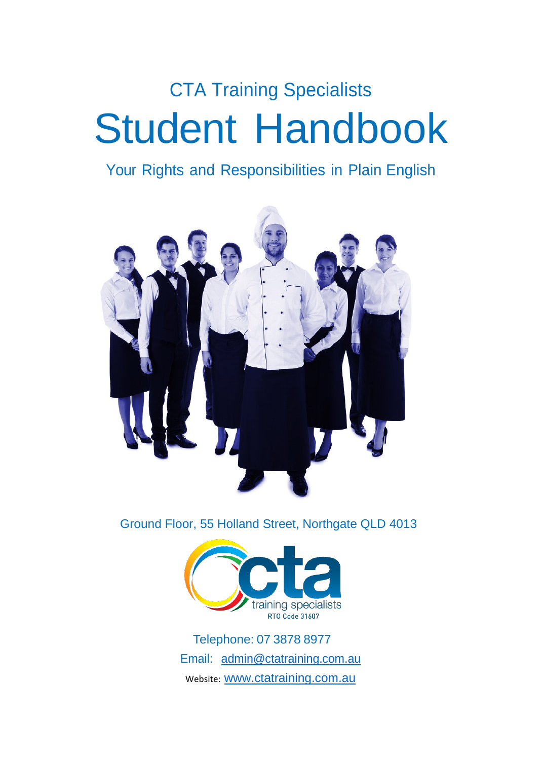# CTA Training Specialists Student Handbook

# Your Rights and Responsibilities in Plain English



Ground Floor, 55 Holland Street, Northgate QLD 4013



Telephone: 07 3878 8977 Email:  $admin@catraining.com.au$ Website: [www.ctatraining.com.au](http://www.ctatraining.com.au/)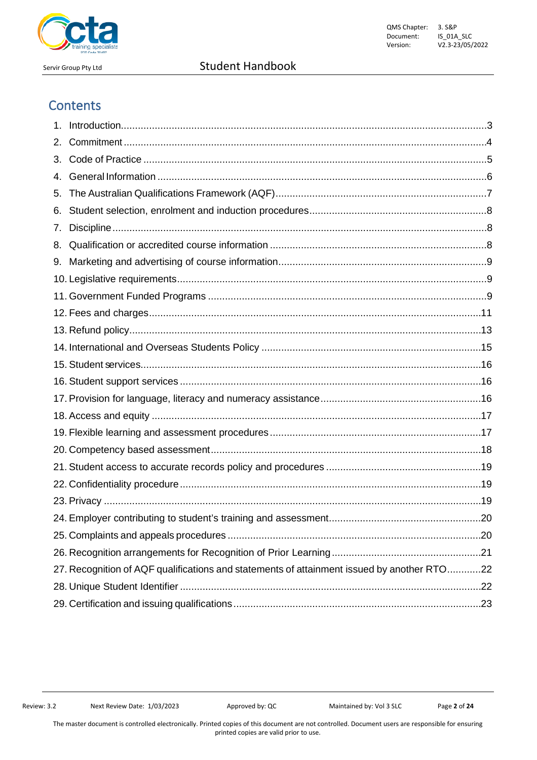

# **Contents**

| 2. |                                                                                            |  |
|----|--------------------------------------------------------------------------------------------|--|
| 3. |                                                                                            |  |
| 4. |                                                                                            |  |
| 5. |                                                                                            |  |
| 6. |                                                                                            |  |
| 7. |                                                                                            |  |
| 8. |                                                                                            |  |
| 9. |                                                                                            |  |
|    |                                                                                            |  |
|    |                                                                                            |  |
|    |                                                                                            |  |
|    |                                                                                            |  |
|    |                                                                                            |  |
|    |                                                                                            |  |
|    |                                                                                            |  |
|    |                                                                                            |  |
|    |                                                                                            |  |
|    |                                                                                            |  |
|    |                                                                                            |  |
|    |                                                                                            |  |
|    |                                                                                            |  |
|    |                                                                                            |  |
|    |                                                                                            |  |
|    |                                                                                            |  |
|    |                                                                                            |  |
|    | 27. Recognition of AQF qualifications and statements of attainment issued by another RTO22 |  |
|    |                                                                                            |  |
|    |                                                                                            |  |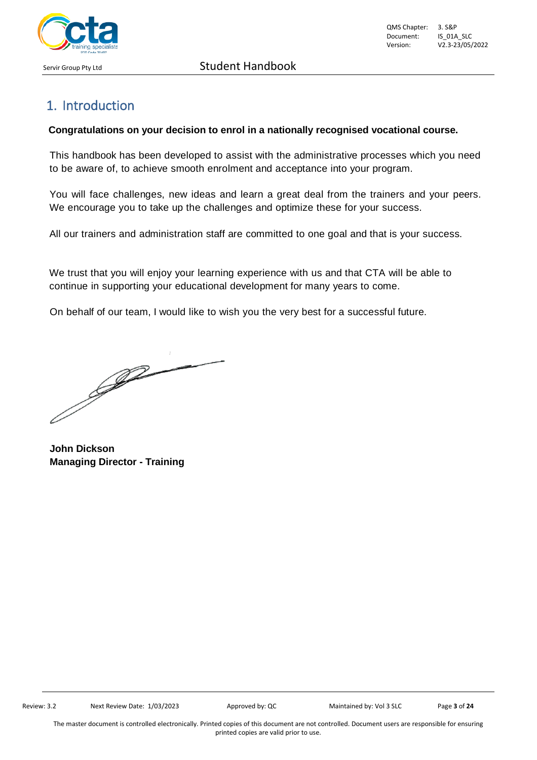

# <span id="page-2-0"></span>1. Introduction

#### **Congratulations on your decision to enrol in a nationally recognised vocational course.**

This handbook has been developed to assist with the administrative processes which you need to be aware of, to achieve smooth enrolment and acceptance into your program.

You will face challenges, new ideas and learn a great deal from the trainers and your peers. We encourage you to take up the challenges and optimize these for your success.

All our trainers and administration staff are committed to one goal and that is your success.

We trust that you will enjoy your learning experience with us and that CTA will be able to continue in supporting your educational development for many years to come.

On behalf of our team, I would like to wish you the very best for a successful future.

J

**John Dickson Managing Director - Training**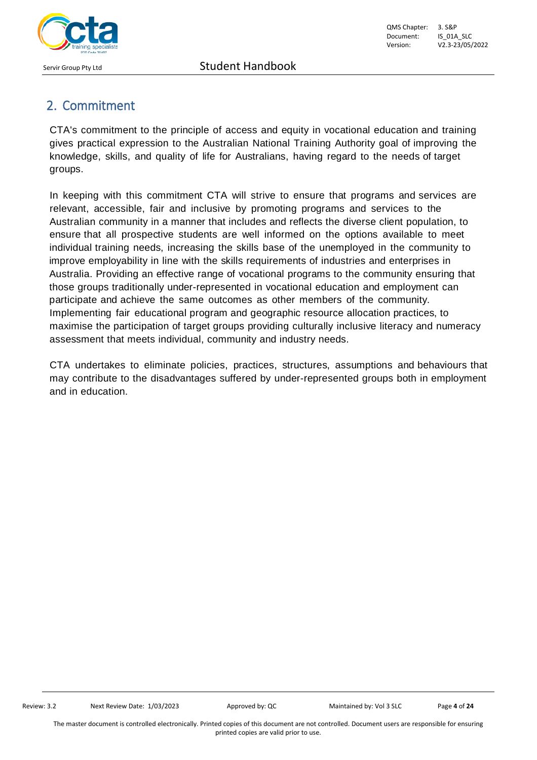

# <span id="page-3-0"></span>2. Commitment

CTA's commitment to the principle of access and equity in vocational education and training gives practical expression to the Australian National Training Authority goal of improving the knowledge, skills, and quality of life for Australians, having regard to the needs of target groups.

In keeping with this commitment CTA will strive to ensure that programs and services are relevant, accessible, fair and inclusive by promoting programs and services to the Australian community in a manner that includes and reflects the diverse client population, to ensure that all prospective students are well informed on the options available to meet individual training needs, increasing the skills base of the unemployed in the community to improve employability in line with the skills requirements of industries and enterprises in Australia. Providing an effective range of vocational programs to the community ensuring that those groups traditionally under-represented in vocational education and employment can participate and achieve the same outcomes as other members of the community. Implementing fair educational program and geographic resource allocation practices, to maximise the participation of target groups providing culturally inclusive literacy and numeracy assessment that meets individual, community and industry needs.

CTA undertakes to eliminate policies, practices, structures, assumptions and behaviours that may contribute to the disadvantages suffered by under-represented groups both in employment and in education.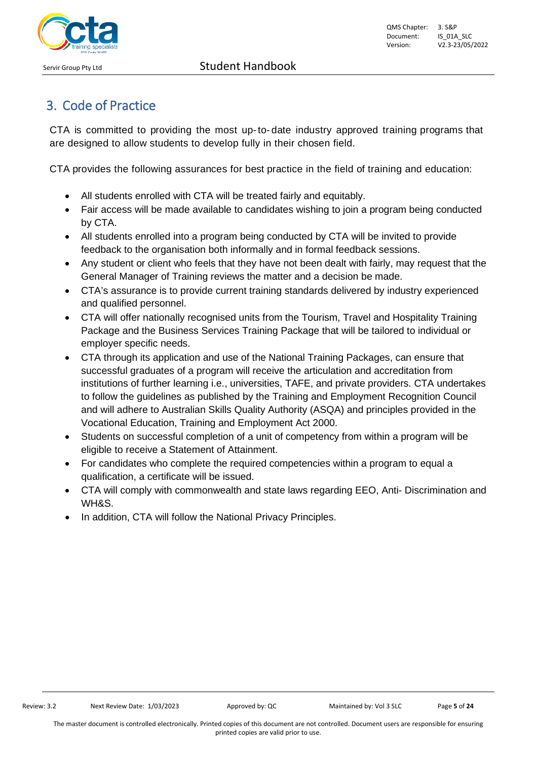

# <span id="page-4-0"></span>3. Code of Practice

CTA is committed to providing the most up-to- date industry approved training programs that are designed to allow students to develop fully in their chosen field.

CTA provides the following assurances for best practice in the field of training and education:

- All students enrolled with CTA will be treated fairly and equitably.
- Fair access will be made available to candidates wishing to join a program being conducted by CTA.
- All students enrolled into a program being conducted by CTA will be invited to provide feedback to the organisation both informally and in formal feedback sessions.
- Any student or client who feels that they have not been dealt with fairly, may request that the General Manager of Training reviews the matter and a decision be made.
- CTA's assurance is to provide current training standards delivered by industry experienced and qualified personnel.
- CTA will offer nationally recognised units from the Tourism, Travel and Hospitality Training Package and the Business Services Training Package that will be tailored to individual or employer specific needs.
- CTA through its application and use of the National Training Packages, can ensure that successful graduates of a program will receive the articulation and accreditation from institutions of further learning i.e., universities, TAFE, and private providers. CTA undertakes to follow the guidelines as published by the Training and Employment Recognition Council and will adhere to Australian Skills Quality Authority (ASQA) and principles provided in the Vocational Education, Training and Employment Act 2000.
- Students on successful completion of a unit of competency from within a program will be eligible to receive a Statement of Attainment.
- For candidates who complete the required competencies within a program to equal a qualification, a certificate will be issued.
- CTA will comply with commonwealth and state laws regarding EEO, Anti- Discrimination and WH&S.
- In addition, CTA will follow the National Privacy Principles.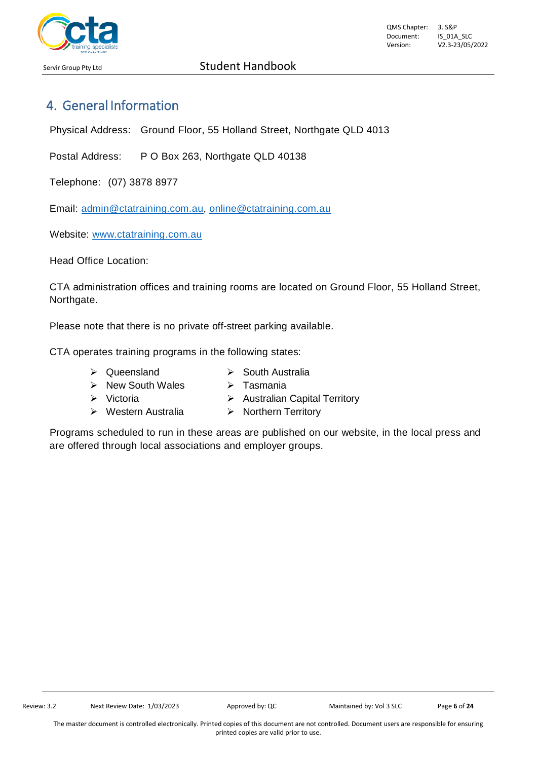

# <span id="page-5-0"></span>4. General Information

Physical Address: Ground Floor, 55 Holland Street, Northgate QLD 4013

Postal Address: P O Box 263, Northgate QLD 40138

Telephone: (07) 3878 8977

Email: [admin@ctatraining.com.au,](mailto:admin@ctatraining.com.au) [online@ctatraining.com.au](mailto:online@ctatraining.com.au)

Website: [www.ctatraining.com.au](http://www.ctatraining.com.au/)

Head Office Location:

CTA administration offices and training rooms are located on Ground Floor, 55 Holland Street, Northgate.

Please note that there is no private off-street parking available.

CTA operates training programs in the following states:

- > Queensland > South Australia
- $\triangleright$  New South Wales  $\triangleright$  Tasmania
- 
- Victoria Australian Capital Territory
- > Western Australia > Northern Territory

Programs scheduled to run in these areas are published on our website, in the local press and are offered through local associations and employer groups.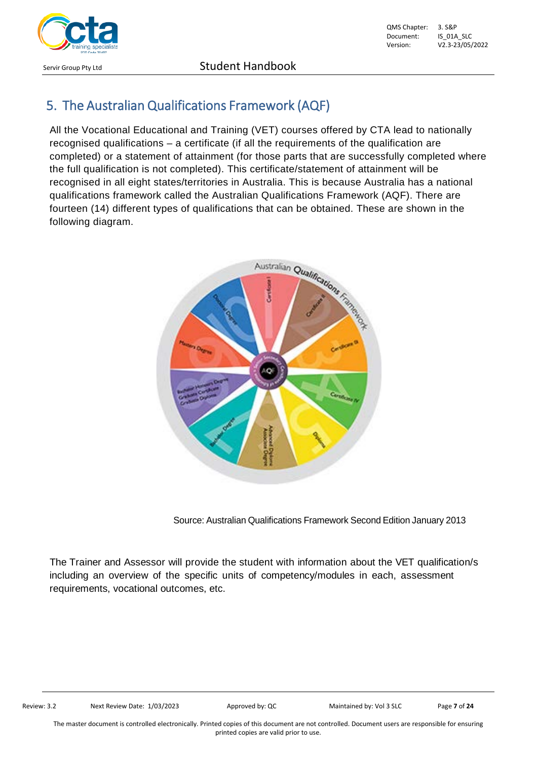

# <span id="page-6-0"></span>5. The Australian Qualifications Framework (AQF)

All the Vocational Educational and Training (VET) courses offered by CTA lead to nationally recognised qualifications – a certificate (if all the requirements of the qualification are completed) or a statement of attainment (for those parts that are successfully completed where the full qualification is not completed). This certificate/statement of attainment will be recognised in all eight states/territories in Australia. This is because Australia has a national qualifications framework called the Australian Qualifications Framework (AQF). There are fourteen (14) different types of qualifications that can be obtained. These are shown in the following diagram.



Source: Australian Qualifications Framework Second Edition January 2013

The Trainer and Assessor will provide the student with information about the VET qualification/s including an overview of the specific units of competency/modules in each, assessment requirements, vocational outcomes, etc.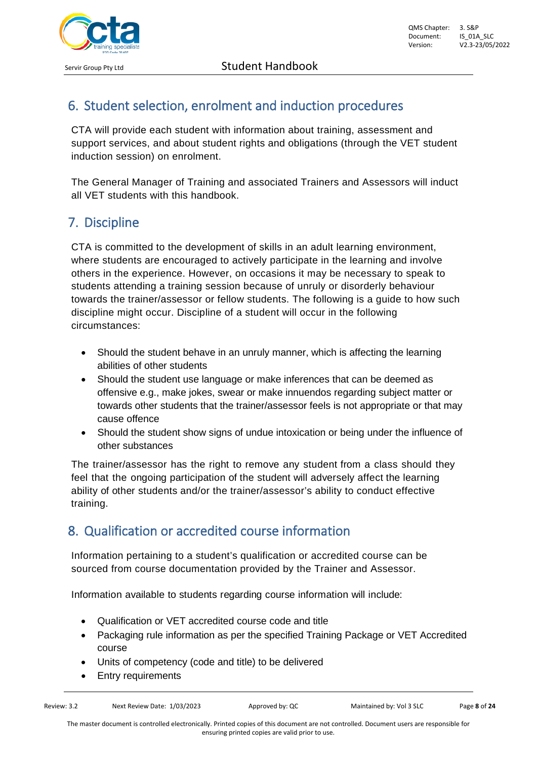# <span id="page-7-0"></span>6. Student selection, enrolment and induction procedures

CTA will provide each student with information about training, assessment and support services, and about student rights and obligations (through the VET student induction session) on enrolment.

The General Manager of Training and associated Trainers and Assessors will induct all VET students with this handbook.

# <span id="page-7-1"></span>7. Discipline

CTA is committed to the development of skills in an adult learning environment, where students are encouraged to actively participate in the learning and involve others in the experience. However, on occasions it may be necessary to speak to students attending a training session because of unruly or disorderly behaviour towards the trainer/assessor or fellow students. The following is a guide to how such discipline might occur. Discipline of a student will occur in the following circumstances:

- Should the student behave in an unruly manner, which is affecting the learning abilities of other students
- Should the student use language or make inferences that can be deemed as offensive e.g., make jokes, swear or make innuendos regarding subject matter or towards other students that the trainer/assessor feels is not appropriate or that may cause offence
- Should the student show signs of undue intoxication or being under the influence of other substances

The trainer/assessor has the right to remove any student from a class should they feel that the ongoing participation of the student will adversely affect the learning ability of other students and/or the trainer/assessor's ability to conduct effective training.

# <span id="page-7-2"></span>8. Qualification or accredited course information

Information pertaining to a student's qualification or accredited course can be sourced from course documentation provided by the Trainer and Assessor.

Information available to students regarding course information will include:

- Qualification or VET accredited course code and title
- Packaging rule information as per the specified Training Package or VET Accredited course
- Units of competency (code and title) to be delivered
- **Entry requirements**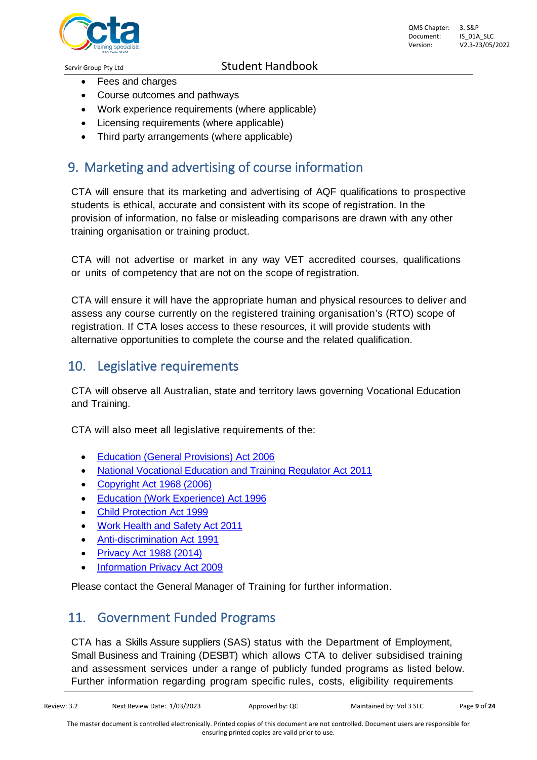

- Fees and charges
- Course outcomes and pathways
- Work experience requirements (where applicable)
- Licensing requirements (where applicable)
- Third party arrangements (where applicable)

### <span id="page-8-0"></span>9. Marketing and advertising of course information

CTA will ensure that its marketing and advertising of AQF qualifications to prospective students is ethical, accurate and consistent with its scope of registration. In the provision of information, no false or misleading comparisons are drawn with any other training organisation or training product.

CTA will not advertise or market in any way VET accredited courses, qualifications or units of competency that are not on the scope of registration.

CTA will ensure it will have the appropriate human and physical resources to deliver and assess any course currently on the registered training organisation's (RTO) scope of registration. If CTA loses access to these resources, it will provide students with alternative opportunities to complete the course and the related qualification.

### <span id="page-8-1"></span>10. Legislative requirements

CTA will observe all Australian, state and territory laws governing Vocational Education and Training.

CTA will also meet all legislative requirements of the:

- Education (General [Provisions\)](https://www.legislation.qld.gov.au/LEGISLTN/CURRENT/E/EducGenPrA06.pdf) Act 2006
- National Vocational Education and [Training Regulator](http://www.comlaw.gov.au/Details/C2014C00623/77524942-2969-4aab-bdce-529b95ebb2f9) Act 2011
- [Copyright](http://www.comlaw.gov.au/Details/C2014C00291/394cbe1c-c423-4f21-8cb8-3272a064aab4) Act 1968 (2006)
- Education (Work [Experience\)](https://www.legislation.qld.gov.au/LEGISLTN/CURRENT/E/EducWkExA96.pdf) Act 1996
- [Child Protection Act](https://www.legislation.qld.gov.au/LEGISLTN/CURRENT/C/ChildProtectA99.pdf) 1999
- [Work Health](https://www.legislation.qld.gov.au/LEGISLTN/CURRENT/W/WorkHSA11.pdf) and Safety Act 2011
- [Anti-discrimination Act](https://www.legislation.qld.gov.au/LEGISLTN/CURRENT/A/AntiDiscrimA91.pdf) 1991
- Privacy Act [1988 \(2014\)](http://www.comlaw.gov.au/Details/C2014C00757/9f9e7235-b12a-42f5-a77f-3aeb9d5b1736)
- [Information Privacy](https://www.legislation.qld.gov.au/LEGISLTN/CURRENT/I/InfoPrivA09.pdf) Act 2009

Please contact the General Manager of Training for further information.

### <span id="page-8-2"></span>11. Government Funded Programs

CTA has a Skills Assure suppliers (SAS) status with the Department of Employment, Small Business and Training (DESBT) which allows CTA to deliver subsidised training and assessment services under a range of publicly funded programs as listed below. Further information regarding program specific rules, costs, eligibility requirements

The master document is controlled electronically. Printed copies of this document are not controlled. Document users are responsible for ensuring printed copies are valid prior to use.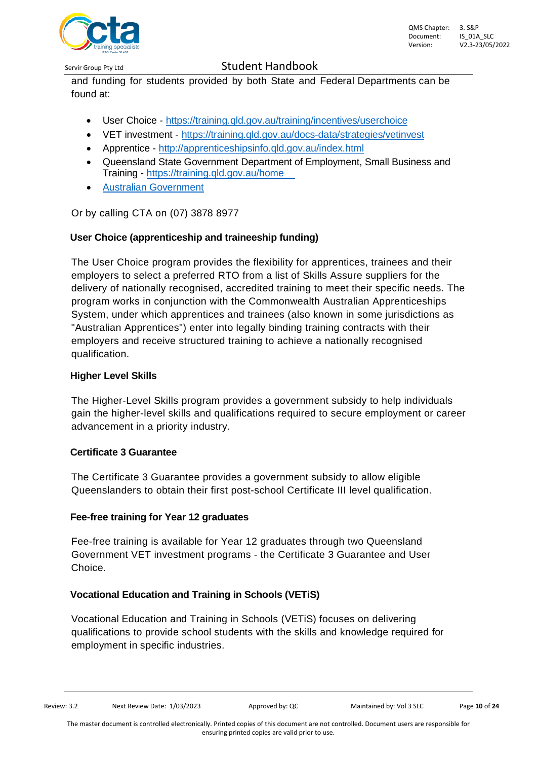

and funding for students provided by both State and Federal Departments can be found at:

- User Choice <https://training.qld.gov.au/training/incentives/userchoice>
- VET investment https://training.gld.gov.au/docs-data/strategies/vetinvest
- Apprentice <http://apprenticeshipsinfo.qld.gov.au/index.html>
- Queensland State Government Department of Employment, Small Business and Training - https://training.qld.gov.au/home
- Australian [Government](http://www.australia.gov.au/information-and-%20services/education-and-training/vocational-education-and-training)

Or by calling CTA on (07) 3878 8977

#### **User Choice [\(apprenticeship and](https://training.qld.gov.au/providers/funded/userchoice) traineeship funding)**

The User Choice program provides the flexibility for apprentices, trainees and their employers to select a preferred RTO from a list of Skills Assure suppliers for the delivery of nationally recognised, accredited training to meet their specific needs. The program works in conjunction with the Commonwealth Australian Apprenticeships System, under which apprentices and trainees (also known in some jurisdictions as "Australian Apprentices") enter into legally binding training contracts with their employers and receive structured training to achieve a nationally recognised qualification.

#### **[Higher Level Skills](https://training.qld.gov.au/providers/funded/higher-level-skills)**

The Higher-Level Skills program provides a government subsidy to help individuals gain the higher-level skills and qualifications required to secure employment or career advancement in a priority industry.

#### **[Certificate 3](https://training.qld.gov.au/providers/funded/certificate3) Guarantee**

The Certificate 3 Guarantee provides a government subsidy to allow eligible Queenslanders to obtain their first post-school Certificate III level qualification.

#### **Fee-free training for [Year 12 graduates](https://training.qld.gov.au/providers/funded/fee-free)**

Fee-free training is available for Year 12 graduates through two Queensland Government VET investment programs - the Certificate 3 Guarantee and User Choice.

#### **[Vocational Education and Training](https://training.qld.gov.au/providers/funded/vetis) in Schools (VETiS)**

Vocational Education and Training in Schools (VETiS) focuses on delivering qualifications to provide school students with the skills and knowledge required for employment in specific industries.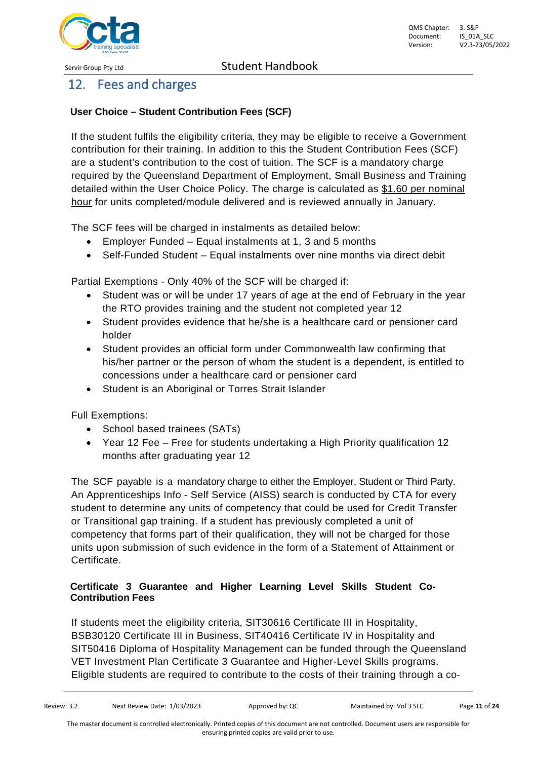

# <span id="page-10-0"></span>12. Fees and charges

#### **User Choice – Student Contribution Fees (SCF)**

If the student fulfils the eligibility criteria, they may be eligible to receive a Government contribution for their training. In addition to this the Student Contribution Fees (SCF) are a student's contribution to the cost of tuition. The SCF is a mandatory charge required by the Queensland Department of Employment, Small Business and Training detailed within the User Choice Policy. The charge is calculated as \$1.60 per nominal hour for units completed/module delivered and is reviewed annually in January.

The SCF fees will be charged in instalments as detailed below:

- Employer Funded Equal instalments at 1, 3 and 5 months
- Self-Funded Student Equal instalments over nine months via direct debit

Partial Exemptions - Only 40% of the SCF will be charged if:

- Student was or will be under 17 years of age at the end of February in the year the RTO provides training and the student not completed year 12
- Student provides evidence that he/she is a healthcare card or pensioner card holder
- Student provides an official form under Commonwealth law confirming that his/her partner or the person of whom the student is a dependent, is entitled to concessions under a healthcare card or pensioner card
- Student is an Aboriginal or Torres Strait Islander

Full Exemptions:

- School based trainees (SATs)
- Year 12 Fee Free for students undertaking a High Priority qualification 12 months after graduating year 12

The SCF payable is a mandatory charge to either the Employer, Student or Third Party. An Apprenticeships Info - Self Service (AISS) search is conducted by CTA for every student to determine any units of competency that could be used for Credit Transfer or Transitional gap training. If a student has previously completed a unit of competency that forms part of their qualification, they will not be charged for those units upon submission of such evidence in the form of a Statement of Attainment or Certificate.

#### **Certificate 3 Guarantee and Higher Learning Level Skills Student Co-Contribution Fees**

If students meet the eligibility criteria, SIT30616 Certificate III in Hospitality, BSB30120 Certificate III in Business, SIT40416 Certificate IV in Hospitality and SIT50416 Diploma of Hospitality Management can be funded through the Queensland VET Investment Plan Certificate 3 Guarantee and Higher-Level Skills programs. Eligible students are required to contribute to the costs of their training through a co-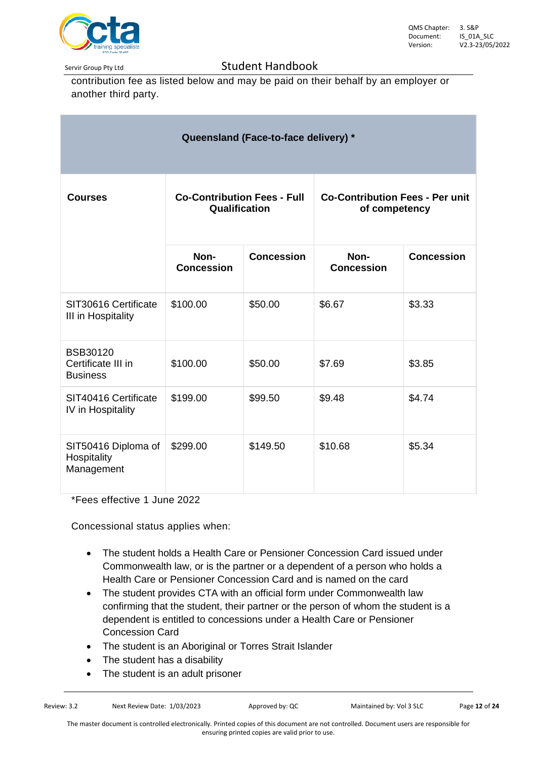

contribution fee as listed below and may be paid on their behalf by an employer or another third party.

| Queensland (Face-to-face delivery) *                     |                                                     |                   |                                                         |                   |  |  |  |  |
|----------------------------------------------------------|-----------------------------------------------------|-------------------|---------------------------------------------------------|-------------------|--|--|--|--|
| <b>Courses</b>                                           | <b>Co-Contribution Fees - Full</b><br>Qualification |                   | <b>Co-Contribution Fees - Per unit</b><br>of competency |                   |  |  |  |  |
|                                                          | Non-<br><b>Concession</b>                           | <b>Concession</b> | Non-<br><b>Concession</b>                               | <b>Concession</b> |  |  |  |  |
| SIT30616 Certificate<br>III in Hospitality               | \$100.00                                            | \$50.00           | \$6.67                                                  | \$3.33            |  |  |  |  |
| <b>BSB30120</b><br>Certificate III in<br><b>Business</b> | \$100.00                                            | \$50.00           | \$7.69                                                  | \$3.85            |  |  |  |  |
| SIT40416 Certificate<br>IV in Hospitality                | \$199.00                                            | \$99.50           | \$9.48                                                  | \$4.74            |  |  |  |  |
| SIT50416 Diploma of<br>Hospitality<br>Management         | \$299.00                                            | \$149.50          | \$10.68                                                 | \$5.34            |  |  |  |  |

\*Fees effective 1 June 2022

Concessional status applies when:

- The student holds a Health Care or Pensioner Concession Card issued under Commonwealth law, or is the partner or a dependent of a person who holds a Health Care or Pensioner Concession Card and is named on the card
- The student provides CTA with an official form under Commonwealth law confirming that the student, their partner or the person of whom the student is a dependent is entitled to concessions under a Health Care or Pensioner Concession Card
- The student is an Aboriginal or Torres Strait Islander
- The student has a disability
- The student is an adult prisoner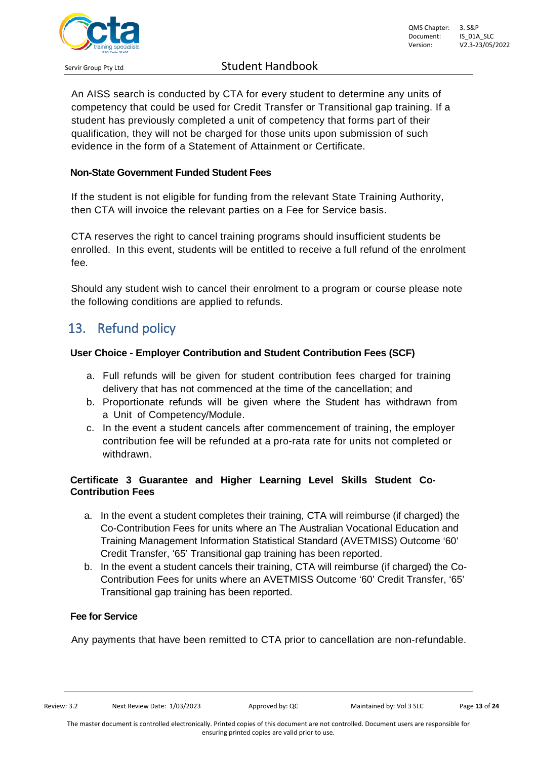

An AISS search is conducted by CTA for every student to determine any units of competency that could be used for Credit Transfer or Transitional gap training. If a student has previously completed a unit of competency that forms part of their qualification, they will not be charged for those units upon submission of such evidence in the form of a Statement of Attainment or Certificate.

#### **Non-State Government Funded Student Fees**

If the student is not eligible for funding from the relevant State Training Authority, then CTA will invoice the relevant parties on a Fee for Service basis.

CTA reserves the right to cancel training programs should insufficient students be enrolled. In this event, students will be entitled to receive a full refund of the enrolment fee.

Should any student wish to cancel their enrolment to a program or course please note the following conditions are applied to refunds.

### <span id="page-12-0"></span>13. Refund policy

#### **User Choice - Employer Contribution and Student Contribution Fees (SCF)**

- a. Full refunds will be given for student contribution fees charged for training delivery that has not commenced at the time of the cancellation; and
- b. Proportionate refunds will be given where the Student has withdrawn from a Unit of Competency/Module.
- c. In the event a student cancels after commencement of training, the employer contribution fee will be refunded at a pro-rata rate for units not completed or withdrawn.

#### **Certificate 3 Guarantee and Higher Learning Level Skills Student Co-Contribution Fees**

- a. In the event a student completes their training, CTA will reimburse (if charged) the Co-Contribution Fees for units where an The Australian Vocational Education and Training Management Information Statistical Standard (AVETMISS) Outcome '60' Credit Transfer, '65' Transitional gap training has been reported.
- b. In the event a student cancels their training, CTA will reimburse (if charged) the Co-Contribution Fees for units where an AVETMISS Outcome '60' Credit Transfer, '65' Transitional gap training has been reported.

#### **Fee for Service**

Any payments that have been remitted to CTA prior to cancellation are non-refundable.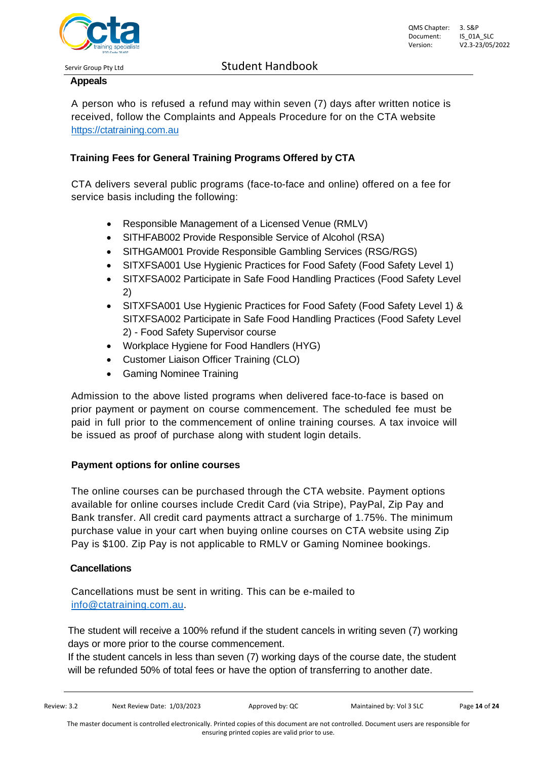

QMS Chapter: 3. S&P<br>Document: IS 01A SLC Document: Version: V2.3-23/05/2022

Servir Group Pty Ltd Student Handbook

#### **Appeals**

A person who is refused a refund may within seven (7) days after written notice is received, follow the Complaints and Appeals Procedure for on the CTA website *34T*[https://ctatraining.com.au](https://ctatraining.com.au/)*34T*

#### **Training Fees for General Training Programs Offered by CTA**

CTA delivers several public programs (face-to-face and online) offered on a fee for service basis including the following:

- Responsible Management of a Licensed Venue (RMLV)
- SITHFAB002 Provide Responsible Service of Alcohol (RSA)
- SITHGAM001 Provide Responsible Gambling Services (RSG/RGS)
- SITXFSA001 Use Hygienic Practices for Food Safety (Food Safety Level 1)
- SITXFSA002 Participate in Safe Food Handling Practices (Food Safety Level 2)
- SITXFSA001 Use Hygienic Practices for Food Safety (Food Safety Level 1) & SITXFSA002 Participate in Safe Food Handling Practices (Food Safety Level 2) - Food Safety Supervisor course
- Workplace Hygiene for Food Handlers (HYG)
- Customer Liaison Officer Training (CLO)
- Gaming Nominee Training

Admission to the above listed programs when delivered face-to-face is based on prior payment or payment on course commencement. The scheduled fee must be paid in full prior to the commencement of online training courses. A tax invoice will be issued as proof of purchase along with student login details.

#### **Payment options for online courses**

The online courses can be purchased through the CTA website. Payment options available for online courses include Credit Card (via Stripe), PayPal, Zip Pay and Bank transfer. All credit card payments attract a surcharge of 1.75%. The minimum purchase value in your cart when buying online courses on CTA website using Zip Pay is \$100. Zip Pay is not applicable to RMLV or Gaming Nominee bookings.

#### **Cancellations**

Cancellations must be sent in writing. This can be e-mailed to *34T*[info@ctatraining.com.au](mailto:34Tinfo@ctatraining.com.au)*34T*.

The student will receive a 100% refund if the student cancels in writing seven (7) working days or more prior to the course commencement.

If the student cancels in less than seven (7) working days of the course date, the student will be refunded 50% of total fees or have the option of transferring to another date.

The master document is controlled electronically. Printed copies of this document are not controlled. Document users are responsible for ensuring printed copies are valid prior to use.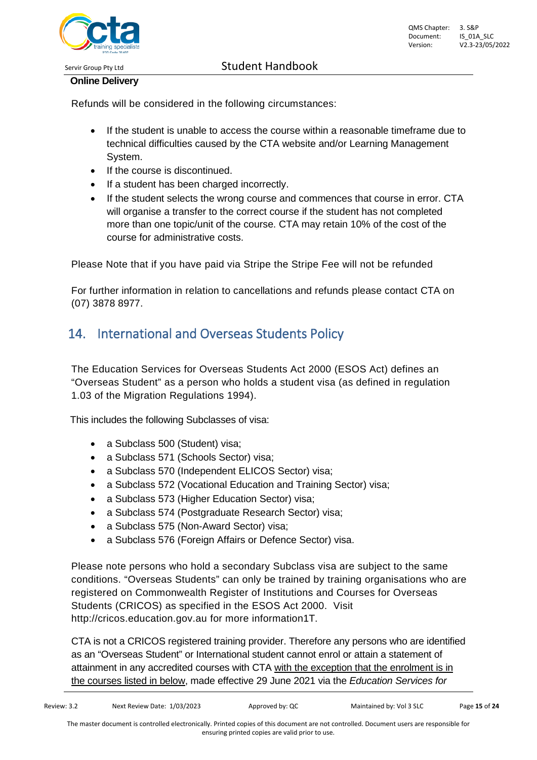

#### **Online Delivery**

Refunds will be considered in the following circumstances:

- If the student is unable to access the course within a reasonable timeframe due to technical difficulties caused by the CTA website and/or Learning Management System.
- If the course is discontinued.
- If a student has been charged incorrectly.
- If the student selects the wrong course and commences that course in error. CTA will organise a transfer to the correct course if the student has not completed more than one topic/unit of the course. CTA may retain 10% of the cost of the course for administrative costs.

Please Note that if you have paid via Stripe the Stripe Fee will not be refunded

For further information in relation to cancellations and refunds please contact CTA on (07) 3878 8977.

# <span id="page-14-0"></span>14. International and Overseas Students Policy

The Education Services for Overseas Students Act 2000 (ESOS Act) defines an "Overseas Student" as a person who holds a student visa (as defined in regulation 1.03 of the Migration Regulations 1994).

This includes the following Subclasses of visa:

- a Subclass 500 (Student) visa:
- a Subclass 571 (Schools Sector) visa;
- a Subclass 570 (Independent ELICOS Sector) visa;
- a Subclass 572 (Vocational Education and Training Sector) visa;
- a Subclass 573 (Higher Education Sector) visa;
- a Subclass 574 (Postgraduate Research Sector) visa;
- a Subclass 575 (Non-Award Sector) visa;
- a Subclass 576 (Foreign Affairs or Defence Sector) visa.

Please note persons who hold a secondary Subclass visa are subject to the same conditions. "Overseas Students" can only be trained by training organisations who are registered on Commonwealth Register of Institutions and Courses for Overseas Students (CRICOS) as specified in the ESOS Act 2000. Visit [http://cricos.education.gov.au](http://cricos.education.gov.au/) for more information1T.

CTA is not a CRICOS registered training provider. Therefore any persons who are identified as an "Overseas Student" or International student cannot enrol or attain a statement of attainment in any accredited courses with CTA with the exception that the enrolment is in the courses listed in below, made effective 29 June 2021 via the *[Education Services for](https://www.legislation.gov.au/Details/F2021L00877)*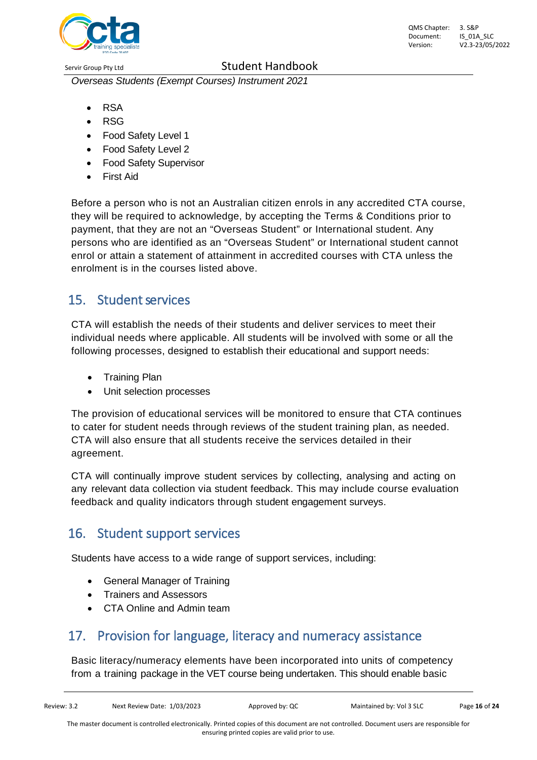

QMS Chapter: 3. S&P Document: IS\_01A\_SLC Version: V2.3-23/05/2022

*[Overseas Students \(Exempt Courses\) Instrument 2021](https://www.legislation.gov.au/Details/F2021L00877)*

- RSA
- RSG
- Food Safety Level 1
- Food Safety Level 2
- Food Safety Supervisor
- **First Aid**

Before a person who is not an Australian citizen enrols in any accredited CTA course, they will be required to acknowledge, by accepting the Terms & Conditions prior to payment, that they are not an "Overseas Student" or International student. Any persons who are identified as an "Overseas Student" or International student cannot enrol or attain a statement of attainment in accredited courses with CTA unless the enrolment is in the courses listed above.

### <span id="page-15-0"></span>15. Student services

CTA will establish the needs of their students and deliver services to meet their individual needs where applicable. All students will be involved with some or all the following processes, designed to establish their educational and support needs:

- Training Plan
- Unit selection processes

The provision of educational services will be monitored to ensure that CTA continues to cater for student needs through reviews of the student training plan, as needed. CTA will also ensure that all students receive the services detailed in their agreement.

CTA will continually improve student services by collecting, analysing and acting on any relevant data collection via student feedback. This may include course evaluation feedback and quality indicators through student engagement surveys.

# <span id="page-15-1"></span>16. Student support services

Students have access to a wide range of support services, including:

- General Manager of Training
- Trainers and Assessors
- CTA Online and Admin team

# <span id="page-15-2"></span>17. Provision for language, literacy and numeracy assistance

Basic literacy/numeracy elements have been incorporated into units of competency from a training package in the VET course being undertaken. This should enable basic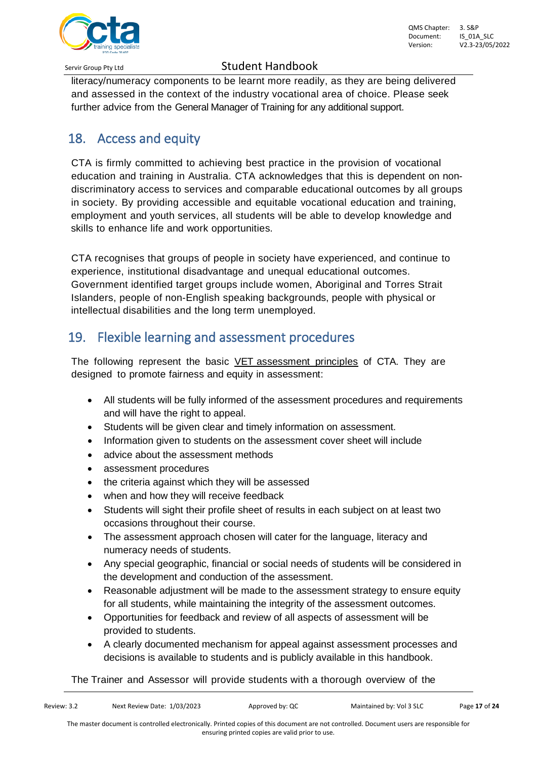

literacy/numeracy components to be learnt more readily, as they are being delivered and assessed in the context of the industry vocational area of choice. Please seek further advice from the General Manager of Training for any additional support.

# <span id="page-16-0"></span>18. Access and equity

CTA is firmly committed to achieving best practice in the provision of vocational education and training in Australia. CTA acknowledges that this is dependent on nondiscriminatory access to services and comparable educational outcomes by all groups in society. By providing accessible and equitable vocational education and training, employment and youth services, all students will be able to develop knowledge and skills to enhance life and work opportunities.

CTA recognises that groups of people in society have experienced, and continue to experience, institutional disadvantage and unequal educational outcomes. Government identified target groups include women, Aboriginal and Torres Strait Islanders, people of non-English speaking backgrounds, people with physical or intellectual disabilities and the long term unemployed.

### <span id="page-16-1"></span>19. Flexible learning and assessment procedures

The following represent the basic VET assessment principles of CTA. They are designed to promote fairness and equity in assessment:

- All students will be fully informed of the assessment procedures and requirements and will have the right to appeal.
- Students will be given clear and timely information on assessment.
- Information given to students on the assessment cover sheet will include
- advice about the assessment methods
- assessment procedures
- the criteria against which they will be assessed
- when and how they will receive feedback
- Students will sight their profile sheet of results in each subject on at least two occasions throughout their course.
- The assessment approach chosen will cater for the language, literacy and numeracy needs of students.
- Any special geographic, financial or social needs of students will be considered in the development and conduction of the assessment.
- Reasonable adjustment will be made to the assessment strategy to ensure equity for all students, while maintaining the integrity of the assessment outcomes.
- Opportunities for feedback and review of all aspects of assessment will be provided to students.
- A clearly documented mechanism for appeal against assessment processes and decisions is available to students and is publicly available in this handbook.

The Trainer and Assessor will provide students with a thorough overview of the

ensuring printed copies are valid prior to use.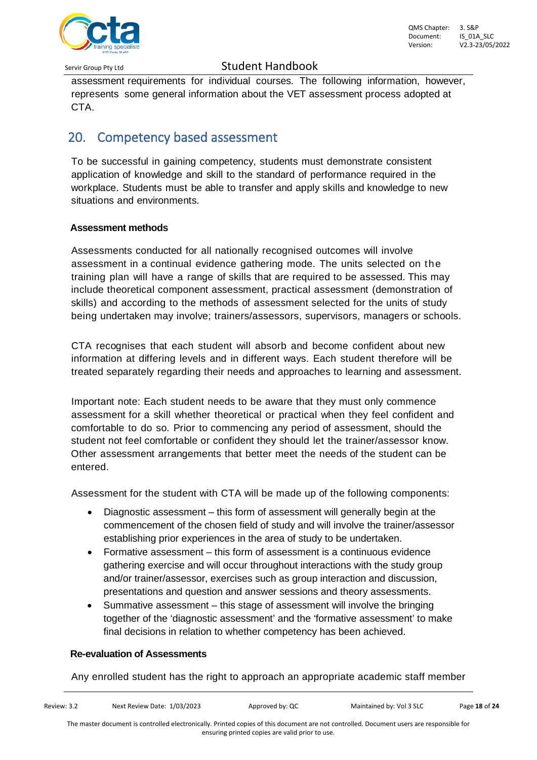

assessment requirements for individual courses. The following information, however, represents some general information about the VET assessment process adopted at CTA.

# <span id="page-17-0"></span>20. Competency based assessment

To be successful in gaining competency, students must demonstrate consistent application of knowledge and skill to the standard of performance required in the workplace. Students must be able to transfer and apply skills and knowledge to new situations and environments.

#### **Assessment methods**

Assessments conducted for all nationally recognised outcomes will involve assessment in a continual evidence gathering mode. The units selected on the training plan will have a range of skills that are required to be assessed. This may include theoretical component assessment, practical assessment (demonstration of skills) and according to the methods of assessment selected for the units of study being undertaken may involve; trainers/assessors, supervisors, managers or schools.

CTA recognises that each student will absorb and become confident about new information at differing levels and in different ways. Each student therefore will be treated separately regarding their needs and approaches to learning and assessment.

Important note: Each student needs to be aware that they must only commence assessment for a skill whether theoretical or practical when they feel confident and comfortable to do so. Prior to commencing any period of assessment, should the student not feel comfortable or confident they should let the trainer/assessor know. Other assessment arrangements that better meet the needs of the student can be entered.

Assessment for the student with CTA will be made up of the following components:

- Diagnostic assessment this form of assessment will generally begin at the commencement of the chosen field of study and will involve the trainer/assessor establishing prior experiences in the area of study to be undertaken.
- Formative assessment this form of assessment is a continuous evidence gathering exercise and will occur throughout interactions with the study group and/or trainer/assessor, exercises such as group interaction and discussion, presentations and question and answer sessions and theory assessments.
- Summative assessment this stage of assessment will involve the bringing together of the 'diagnostic assessment' and the 'formative assessment' to make final decisions in relation to whether competency has been achieved.

#### **Re-evaluation of Assessments**

Any enrolled student has the right to approach an appropriate academic staff member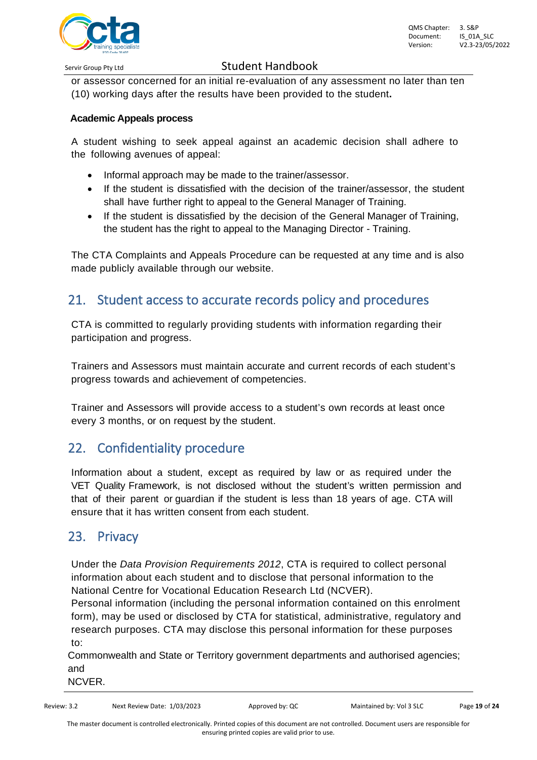

or assessor concerned for an initial re-evaluation of any assessment no later than ten (10) working days after the results have been provided to the student**.**

#### **Academic Appeals process**

A student wishing to seek appeal against an academic decision shall adhere to the following avenues of appeal:

- Informal approach may be made to the trainer/assessor.
- If the student is dissatisfied with the decision of the trainer/assessor, the student shall have further right to appeal to the General Manager of Training.
- If the student is dissatisfied by the decision of the General Manager of Training, the student has the right to appeal to the Managing Director - Training.

The CTA Complaints and Appeals Procedure can be requested at any time and is also made publicly available through our website.

### <span id="page-18-0"></span>21. Student access to accurate records policy and procedures

CTA is committed to regularly providing students with information regarding their participation and progress.

Trainers and Assessors must maintain accurate and current records of each student's progress towards and achievement of competencies.

Trainer and Assessors will provide access to a student's own records at least once every 3 months, or on request by the student.

# <span id="page-18-1"></span>22. Confidentiality procedure

Information about a student, except as required by law or as required under the VET [Quality](http://www.asqa.gov.au/about-asqa/national-vet-regulation/vet-quality-framework.html) [Framework,](http://www.asqa.gov.au/about-asqa/national-vet-regulation/vet-quality-framework.html) is not disclosed without the student's written permission and that of their parent or guardian if the student is less than 18 years of age. CTA will ensure that it has written consent from each student.

### <span id="page-18-2"></span>23. Privacy

Under the *Data Provision Requirements 2012*, CTA is required to collect personal information about each student and to disclose that personal information to the National Centre for Vocational Education Research Ltd (NCVER).

Personal information (including the personal information contained on this enrolment form), may be used or disclosed by CTA for statistical, administrative, regulatory and research purposes. CTA may disclose this personal information for these purposes to:

Commonwealth and State or Territory government departments and authorised agencies; and

NCVER.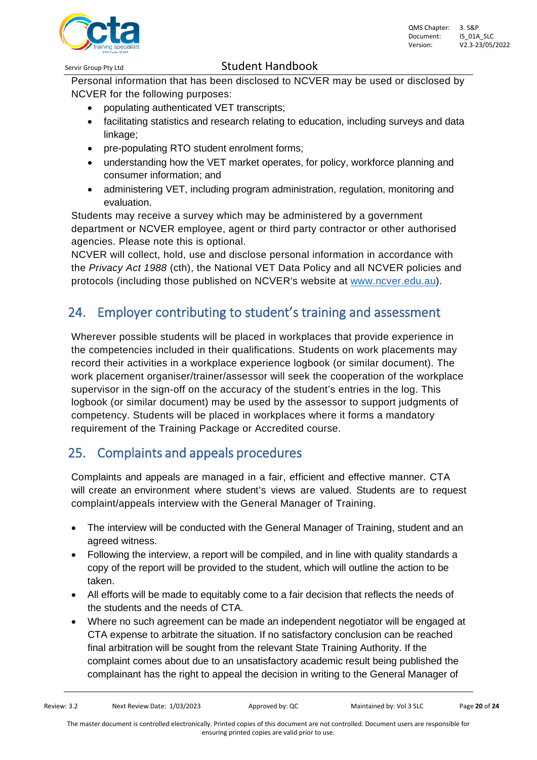Personal information that has been disclosed to NCVER may be used or disclosed by NCVER for the following purposes:

- populating authenticated VET transcripts;
- facilitating statistics and research relating to education, including surveys and data linkage;
- pre-populating RTO student enrolment forms;
- understanding how the VET market operates, for policy, workforce planning and consumer information; and
- administering VET, including program administration, regulation, monitoring and evaluation.

Students may receive a survey which may be administered by a government department or NCVER employee, agent or third party contractor or other authorised agencies. Please note this is optional.

NCVER will collect, hold, use and disclose personal information in accordance with the *Privacy Act 1988* (cth), the National VET Data Policy and all NCVER policies and protocols (including those published on NCVER's website at [www.ncver.edu.au](http://www.ncver.edu.au/)).

# <span id="page-19-0"></span>24. Employer contributing to student's training and assessment

Wherever possible students will be placed in workplaces that provide experience in the competencies included in their qualifications. Students on work placements may record their activities in a workplace experience logbook (or similar document). The work placement organiser/trainer/assessor will seek the cooperation of the workplace supervisor in the sign-off on the accuracy of the student's entries in the log. This logbook (or similar document) may be used by the assessor to support judgments of competency. Students will be placed in workplaces where it forms a mandatory requirement of the Training Package or Accredited course.

# <span id="page-19-1"></span>25. Complaints and appeals procedures

Complaints and appeals are managed in a fair, efficient and effective manner. CTA will create an environment where student's views are valued. Students are to request complaint/appeals interview with the General Manager of Training.

- The interview will be conducted with the General Manager of Training, student and an agreed witness.
- Following the interview, a report will be compiled, and in line with quality standards a copy of the report will be provided to the student, which will outline the action to be taken.
- All efforts will be made to equitably come to a fair decision that reflects the needs of the students and the needs of CTA.
- Where no such agreement can be made an independent negotiator will be engaged at CTA expense to arbitrate the situation. If no satisfactory conclusion can be reached final arbitration will be sought from the relevant State Training Authority. If the complaint comes about due to an unsatisfactory academic result being published the complainant has the right to appeal the decision in writing to the General Manager of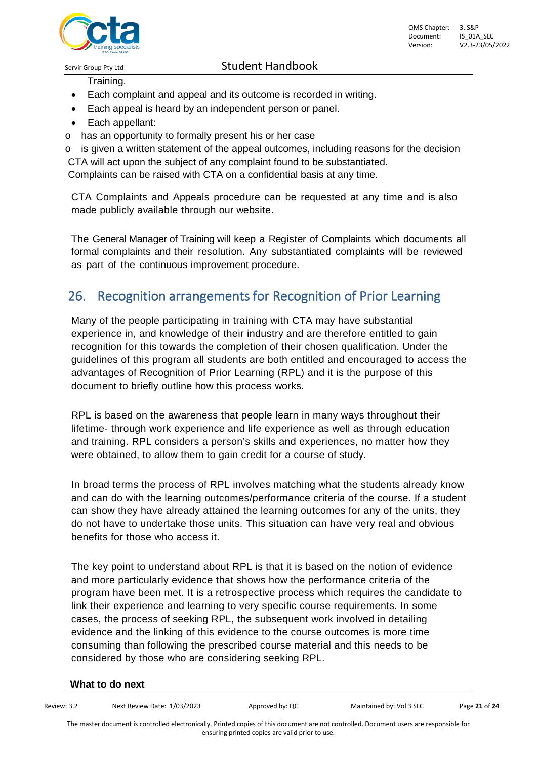

Training.

- Each complaint and appeal and its outcome is recorded in writing.
- Each appeal is heard by an independent person or panel.
- Each appellant:
- o has an opportunity to formally present his or her case

 $\circ$  is given a written statement of the appeal outcomes, including reasons for the decision CTA will act upon the subject of any complaint found to be substantiated.

Complaints can be raised with CTA on a confidential basis at any time.

CTA Complaints and Appeals procedure can be requested at any time and is also made publicly available through our website.

The General Manager of Training will keep a Register of Complaints which documents all formal complaints and their resolution. Any substantiated complaints will be reviewed as part of the continuous improvement procedure.

### <span id="page-20-0"></span>26. Recognition arrangements for Recognition of Prior Learning

Many of the people participating in training with CTA may have substantial experience in, and knowledge of their industry and are therefore entitled to gain recognition for this towards the completion of their chosen qualification. Under the guidelines of this program all students are both entitled and encouraged to access the advantages of Recognition of Prior Learning (RPL) and it is the purpose of this document to briefly outline how this process works.

RPL is based on the awareness that people learn in many ways throughout their lifetime- through work experience and life experience as well as through education and training. RPL considers a person's skills and experiences, no matter how they were obtained, to allow them to gain credit for a course of study.

In broad terms the process of RPL involves matching what the students already know and can do with the learning outcomes/performance criteria of the course. If a student can show they have already attained the learning outcomes for any of the units, they do not have to undertake those units. This situation can have very real and obvious benefits for those who access it.

The key point to understand about RPL is that it is based on the notion of evidence and more particularly evidence that shows how the performance criteria of the program have been met. It is a retrospective process which requires the candidate to link their experience and learning to very specific course requirements. In some cases, the process of seeking RPL, the subsequent work involved in detailing evidence and the linking of this evidence to the course outcomes is more time consuming than following the prescribed course material and this needs to be considered by those who are considering seeking RPL.

#### **What to do next**

| Review: 3.2                                                                                                                              | Next Review Date: 1/03/2023 | Approved by: QC | Maintained by: Vol 3 SLC | Page 21 of 24 |  |  |  |  |
|------------------------------------------------------------------------------------------------------------------------------------------|-----------------------------|-----------------|--------------------------|---------------|--|--|--|--|
| The master document is controlled electronically. Printed copies of this document are not controlled. Document users are responsible for |                             |                 |                          |               |  |  |  |  |

ensuring printed copies are valid prior to use.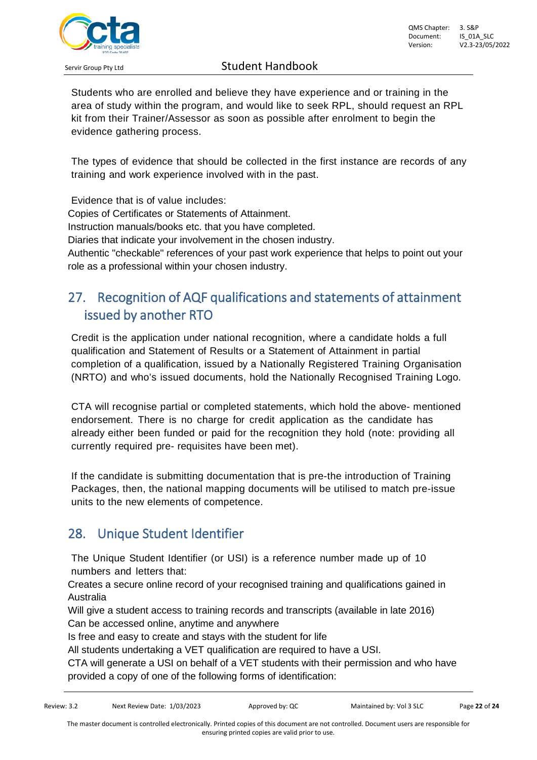

Students who are enrolled and believe they have experience and or training in the area of study within the program, and would like to seek RPL, should request an RPL kit from their Trainer/Assessor as soon as possible after enrolment to begin the evidence gathering process.

The types of evidence that should be collected in the first instance are records of any training and work experience involved with in the past.

Evidence that is of value includes:

Copies of Certificates or Statements of Attainment.

Instruction manuals/books etc. that you have completed.

Diaries that indicate your involvement in the chosen industry.

Authentic "checkable" references of your past work experience that helps to point out your role as a professional within your chosen industry.

# <span id="page-21-0"></span>27. Recognition of AQF qualifications and statements of attainment issued by another RTO

Credit is the application under national recognition, where a candidate holds a full qualification and Statement of Results or a Statement of Attainment in partial completion of a qualification, issued by a Nationally Registered Training Organisation (NRTO) and who's issued documents, hold the Nationally Recognised Training Logo.

CTA will recognise partial or completed statements, which hold the above- mentioned endorsement. There is no charge for credit application as the candidate has already either been funded or paid for the recognition they hold (note: providing all currently required pre- requisites have been met).

If the candidate is submitting documentation that is pre-the introduction of Training Packages, then, the national mapping documents will be utilised to match pre-issue units to the new elements of competence.

# <span id="page-21-1"></span>28. Unique Student Identifier

The Unique Student Identifier (or USI) is a reference number made up of 10 numbers and letters that:

Creates a secure online record of your recognised training and qualifications gained in Australia

Will give a student access to training records and transcripts (available in late 2016) Can be accessed online, anytime and anywhere

Is free and easy to create and stays with the student for life

All students undertaking a VET qualification are required to have a USI.

CTA will generate a USI on behalf of a VET students with their permission and who have provided a copy of one of the following forms of identification: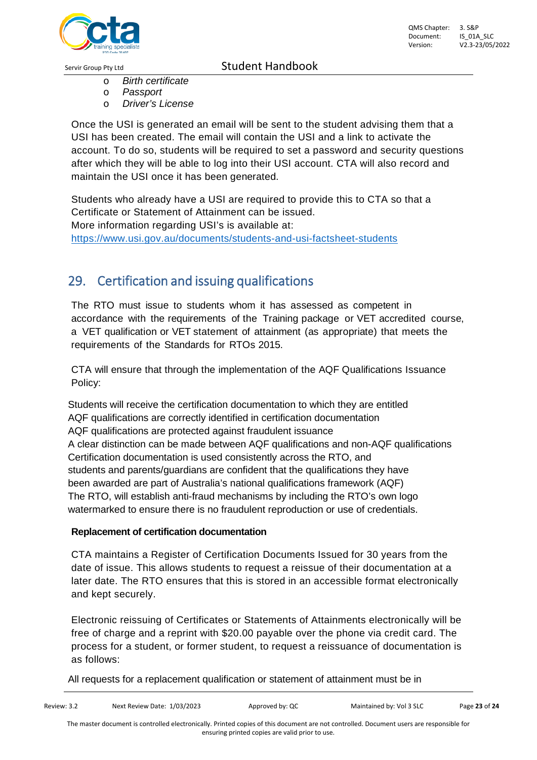

- o *Birth certificate*
- o *Passport*
- **Driver's License**

Once the USI is generated an email will be sent to the student advising them that a USI has been created. The email will contain the USI and a link to activate the account. To do so, students will be required to set a password and security questions after which they will be able to log into their USI account. CTA will also record and maintain the USI once it has been generated.

Students who already have a USI are required to provide this to CTA so that a Certificate or Statement of Attainment can be issued. More information regarding USI's is available at: *34T*https://www.usi.gov.au/documents/students-and-usi-factsheet-students

# <span id="page-22-0"></span>29. Certification and issuing qualifications

The RTO must issue to students whom it has assessed as competent in accordance with the requirements of the Training package or VET accredited course, a VET qualification or VET statement of attainment (as appropriate) that meets the requirements of the Standards for RTOs 2015.

CTA will ensure that through the implementation of the AQF Qualifications Issuance Policy:

Students will receive the certification documentation to which they are entitled AQF qualifications are correctly identified in certification documentation AQF qualifications are protected against fraudulent issuance A clear distinction can be made between AQF qualifications and non-AQF qualifications Certification documentation is used consistently across the RTO, and students and parents/guardians are confident that the qualifications they have been awarded are part of Australia's national qualifications framework (AQF) The RTO, will establish anti-fraud mechanisms by including the RTO's own logo watermarked to ensure there is no fraudulent reproduction or use of credentials.

#### **Replacement of certification documentation**

CTA maintains a Register of Certification Documents Issued for 30 years from the date of issue. This allows students to request a reissue of their documentation at a later date. The RTO ensures that this is stored in an accessible format electronically and kept securely.

Electronic reissuing of Certificates or Statements of Attainments electronically will be free of charge and a reprint with \$20.00 payable over the phone via credit card. The process for a student, or former student, to request a reissuance of documentation is as follows:

All requests for a replacement qualification or statement of attainment must be in